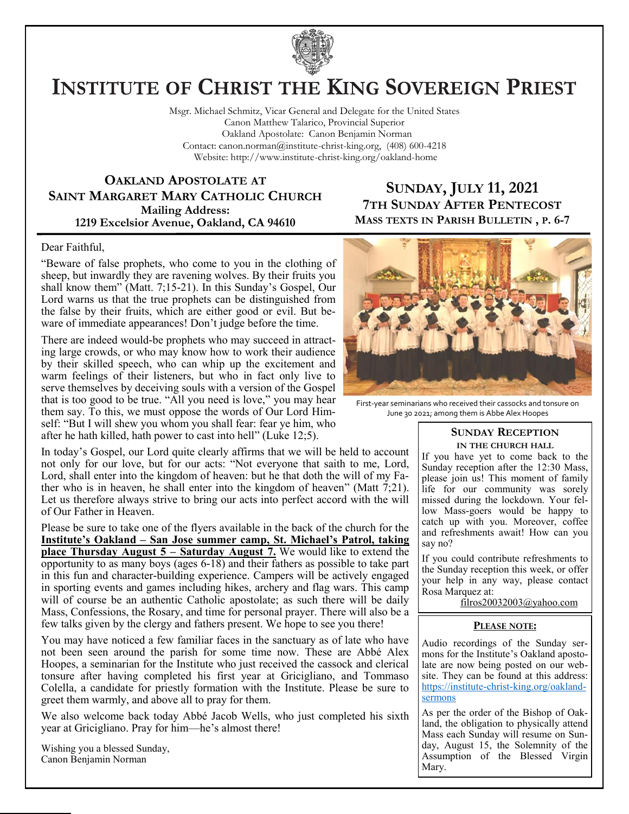

# **INSTITUTE OF CHRIST THE KING SOVEREIGN PRIEST**

Msgr. Michael Schmitz, Vicar General and Delegate for the United States Canon Matthew Talarico, Provincial Superior Oakland Apostolate: Canon Benjamin Norman Contact: canon.norman@institute-christ-king.org, (408) 600-4218 Website: http://www.institute-christ-king.org/oakland-home

#### **OAKLAND APOSTOLATE AT SAINT MARGARET MARY CATHOLIC CHURCH Mailing Address: 1219 Excelsior Avenue, Oakland, CA 94610**

### **SUNDAY, JULY 11, 2021 7TH SUNDAY AFTER PENTECOST MASS TEXTS IN PARISH BULLETIN , P. 6-7**

#### Dear Faithful,

"Beware of false prophets, who come to you in the clothing of sheep, but inwardly they are ravening wolves. By their fruits you shall know them" (Matt. 7;15-21). In this Sunday's Gospel, Our Lord warns us that the true prophets can be distinguished from the false by their fruits, which are either good or evil. But beware of immediate appearances! Don't judge before the time.

There are indeed would-be prophets who may succeed in attracting large crowds, or who may know how to work their audience by their skilled speech, who can whip up the excitement and warm feelings of their listeners, but who in fact only live to serve themselves by deceiving souls with a version of the Gospel that is too good to be true. "All you need is love," you may hear them say. To this, we must oppose the words of Our Lord Himself: "But I will shew you whom you shall fear: fear ye him, who after he hath killed, hath power to cast into hell" (Luke 12;5).

In today's Gospel, our Lord quite clearly affirms that we will be held to account not only for our love, but for our acts: "Not everyone that saith to me, Lord, Lord, shall enter into the kingdom of heaven: but he that doth the will of my Father who is in heaven, he shall enter into the kingdom of heaven" (Matt 7;21). Let us therefore always strive to bring our acts into perfect accord with the will of Our Father in Heaven.

Please be sure to take one of the flyers available in the back of the church for the **Institute's Oakland – San Jose summer camp, St. Michael's Patrol, taking place Thursday August 5 – Saturday August 7.** We would like to extend the opportunity to as many boys (ages 6-18) and their fathers as possible to take part in this fun and character-building experience. Campers will be actively engaged in sporting events and games including hikes, archery and flag wars. This camp will of course be an authentic Catholic apostolate; as such there will be daily Mass, Confessions, the Rosary, and time for personal prayer. There will also be a few talks given by the clergy and fathers present. We hope to see you there!

You may have noticed a few familiar faces in the sanctuary as of late who have not been seen around the parish for some time now. These are Abbé Alex Hoopes, a seminarian for the Institute who just received the cassock and clerical tonsure after having completed his first year at Gricigliano, and Tommaso Colella, a candidate for priestly formation with the Institute. Please be sure to greet them warmly, and above all to pray for them.

We also welcome back today Abbé Jacob Wells, who just completed his sixth year at Gricigliano. Pray for him—he's almost there!

Wishing you a blessed Sunday, Canon Benjamin Norman



First-year seminarians who received their cassocks and tonsure on June 30 2021; among them is Abbe Alex Hoopes

#### **SUNDAY RECEPTION IN THE CHURCH HALL**

If you have yet to come back to the Sunday reception after the 12:30 Mass, please join us! This moment of family life for our community was sorely missed during the lockdown. Your fellow Mass-goers would be happy to catch up with you. Moreover, coffee and refreshments await! How can you say no?

If you could contribute refreshments to the Sunday reception this week, or offer your help in any way, please contact Rosa Marquez at:

filros20032003@yahoo.com

#### **PLEASE NOTE:**

Audio recordings of the Sunday sermons for the Institute's Oakland apostolate are now being posted on our website. They can be found at this address: [https://institute-christ-king.org/oakland](https://institute-christ-king.org/oakland-sermons)[sermons](https://institute-christ-king.org/oakland-sermons)

As per the order of the Bishop of Oakland, the obligation to physically attend Mass each Sunday will resume on Sunday, August 15, the Solemnity of the Assumption of the Blessed Virgin Mary.